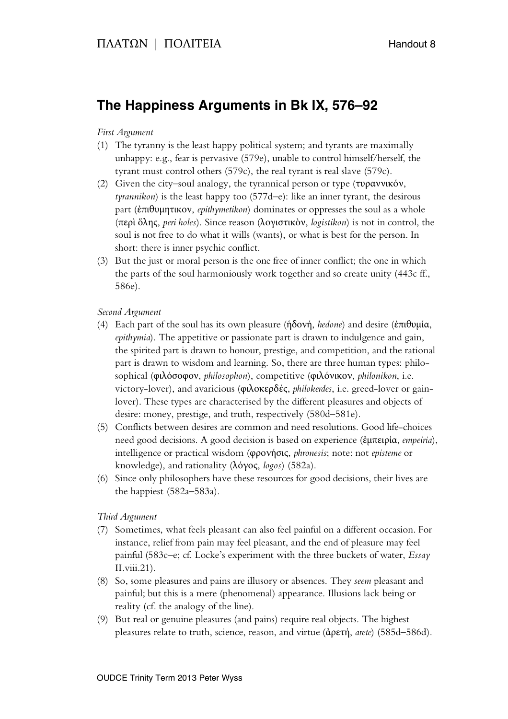# **The Happiness Arguments in Bk IX, 576–92**

## *First Argument*

- (1) The tyranny is the least happy political system; and tyrants are maximally unhappy: e.g., fear is pervasive (579e), unable to control himself/herself, the tyrant must control others (579c), the real tyrant is real slave (579c).
- (2) Given the city–soul analogy, the tyrannical person or type (τυραννικόν, *tyrannikon*) is the least happy too (577d–e): like an inner tyrant, the desirous part (ἐπιθυμητικον, *epithymetikon*) dominates or oppresses the soul as a whole (περὶ ὅλης, *peri holes*). Since reason (λογιστικὸν, *logistikon*) is not in control, the soul is not free to do what it wills (wants), or what is best for the person. In short: there is inner psychic conflict.
- (3) But the just or moral person is the one free of inner conflict; the one in which the parts of the soul harmoniously work together and so create unity (443c ff., 586e).

### *Second Argument*

- (4) Each part of the soul has its own pleasure (ἡδονή, *hedone*) and desire (ἐπιθυμία, *epithymia*). The appetitive or passionate part is drawn to indulgence and gain, the spirited part is drawn to honour, prestige, and competition, and the rational part is drawn to wisdom and learning. So, there are three human types: philosophical (φιλόσοφον, *philosophon*), competitive (φιλόνικον, *philonikon*, i.e. victory-lover), and avaricious (φιλοκερδές, *philokerdes*, i.e. greed-lover or gainlover). These types are characterised by the different pleasures and objects of desire: money, prestige, and truth, respectively (580d–581e).
- (5) Conflicts between desires are common and need resolutions. Good life-choices need good decisions. A good decision is based on experience (ἐμπειρία, *empeiria*), intelligence or practical wisdom (φρονήσις, *phronesis*; note: not *episteme* or knowledge), and rationality (λόγος, *logos*) (582a).
- (6) Since only philosophers have these resources for good decisions, their lives are the happiest (582a–583a).

### *Third Argument*

- (7) Sometimes, what feels pleasant can also feel painful on a different occasion. For instance, relief from pain may feel pleasant, and the end of pleasure may feel painful (583c–e; cf. Locke's experiment with the three buckets of water, *Essay* II.viii.21).
- (8) So, some pleasures and pains are illusory or absences. They *seem* pleasant and painful; but this is a mere (phenomenal) appearance. Illusions lack being or reality (cf. the analogy of the line).
- (9) But real or genuine pleasures (and pains) require real objects. The highest pleasures relate to truth, science, reason, and virtue (ἀρετή, *arete*) (585d–586d).